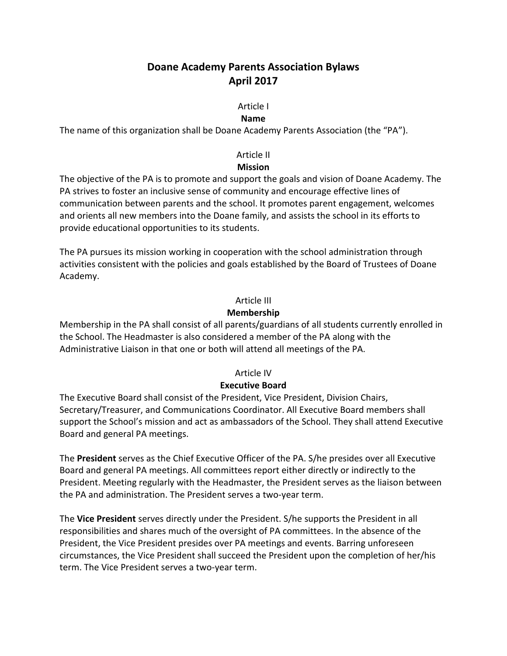# **Doane Academy Parents Association Bylaws April 2017**

## Article I

#### **Name**

The name of this organization shall be Doane Academy Parents Association (the "PA").

## Article II

## **Mission**

The objective of the PA is to promote and support the goals and vision of Doane Academy. The PA strives to foster an inclusive sense of community and encourage effective lines of communication between parents and the school. It promotes parent engagement, welcomes and orients all new members into the Doane family, and assists the school in its efforts to provide educational opportunities to its students.

The PA pursues its mission working in cooperation with the school administration through activities consistent with the policies and goals established by the Board of Trustees of Doane Academy.

## Article III

## **Membership**

Membership in the PA shall consist of all parents/guardians of all students currently enrolled in the School. The Headmaster is also considered a member of the PA along with the Administrative Liaison in that one or both will attend all meetings of the PA.

### Article IV

## **Executive Board**

The Executive Board shall consist of the President, Vice President, Division Chairs, Secretary/Treasurer, and Communications Coordinator. All Executive Board members shall support the School's mission and act as ambassadors of the School. They shall attend Executive Board and general PA meetings.

The **President** serves as the Chief Executive Officer of the PA. S/he presides over all Executive Board and general PA meetings. All committees report either directly or indirectly to the President. Meeting regularly with the Headmaster, the President serves as the liaison between the PA and administration. The President serves a two-year term.

The **Vice President** serves directly under the President. S/he supports the President in all responsibilities and shares much of the oversight of PA committees. In the absence of the President, the Vice President presides over PA meetings and events. Barring unforeseen circumstances, the Vice President shall succeed the President upon the completion of her/his term. The Vice President serves a two-year term.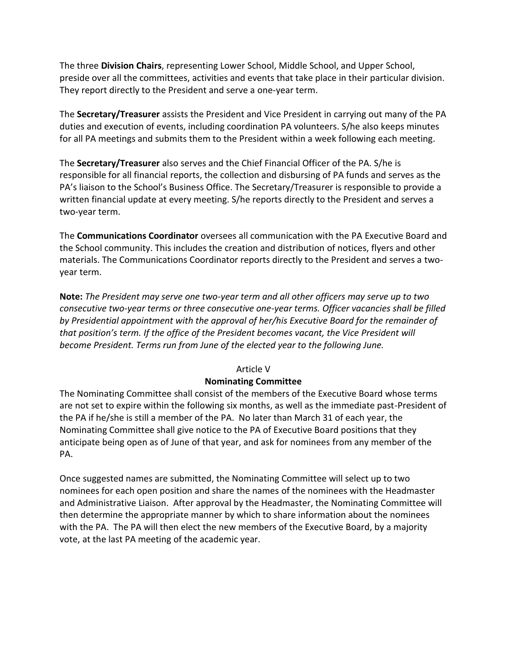The three **Division Chairs**, representing Lower School, Middle School, and Upper School, preside over all the committees, activities and events that take place in their particular division. They report directly to the President and serve a one-year term.

The **Secretary/Treasurer** assists the President and Vice President in carrying out many of the PA duties and execution of events, including coordination PA volunteers. S/he also keeps minutes for all PA meetings and submits them to the President within a week following each meeting.

The **Secretary/Treasurer** also serves and the Chief Financial Officer of the PA. S/he is responsible for all financial reports, the collection and disbursing of PA funds and serves as the PA's liaison to the School's Business Office. The Secretary/Treasurer is responsible to provide a written financial update at every meeting. S/he reports directly to the President and serves a two-year term.

The **Communications Coordinator** oversees all communication with the PA Executive Board and the School community. This includes the creation and distribution of notices, flyers and other materials. The Communications Coordinator reports directly to the President and serves a twoyear term.

**Note:** *The President may serve one two-year term and all other officers may serve up to two consecutive two-year terms or three consecutive one-year terms. Officer vacancies shall be filled by Presidential appointment with the approval of her/his Executive Board for the remainder of that position's term. If the office of the President becomes vacant, the Vice President will become President. Terms run from June of the elected year to the following June.* 

### Article V

## **Nominating Committee**

The Nominating Committee shall consist of the members of the Executive Board whose terms are not set to expire within the following six months, as well as the immediate past-President of the PA if he/she is still a member of the PA. No later than March 31 of each year, the Nominating Committee shall give notice to the PA of Executive Board positions that they anticipate being open as of June of that year, and ask for nominees from any member of the PA.

Once suggested names are submitted, the Nominating Committee will select up to two nominees for each open position and share the names of the nominees with the Headmaster and Administrative Liaison. After approval by the Headmaster, the Nominating Committee will then determine the appropriate manner by which to share information about the nominees with the PA. The PA will then elect the new members of the Executive Board, by a majority vote, at the last PA meeting of the academic year.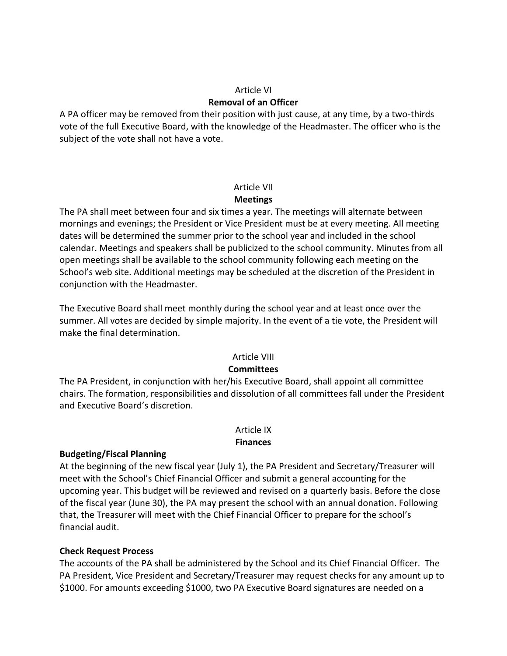## Article VI **Removal of an Officer**

A PA officer may be removed from their position with just cause, at any time, by a two-thirds vote of the full Executive Board, with the knowledge of the Headmaster. The officer who is the subject of the vote shall not have a vote.

## Article VII **Meetings**

The PA shall meet between four and six times a year. The meetings will alternate between mornings and evenings; the President or Vice President must be at every meeting. All meeting dates will be determined the summer prior to the school year and included in the school calendar. Meetings and speakers shall be publicized to the school community. Minutes from all open meetings shall be available to the school community following each meeting on the School's web site. Additional meetings may be scheduled at the discretion of the President in conjunction with the Headmaster.

The Executive Board shall meet monthly during the school year and at least once over the summer. All votes are decided by simple majority. In the event of a tie vote, the President will make the final determination.

## Article VIII

## **Committees**

The PA President, in conjunction with her/his Executive Board, shall appoint all committee chairs. The formation, responsibilities and dissolution of all committees fall under the President and Executive Board's discretion.

#### Article IX **Finances**

## **Budgeting/Fiscal Planning**

At the beginning of the new fiscal year (July 1), the PA President and Secretary/Treasurer will meet with the School's Chief Financial Officer and submit a general accounting for the upcoming year. This budget will be reviewed and revised on a quarterly basis. Before the close of the fiscal year (June 30), the PA may present the school with an annual donation. Following that, the Treasurer will meet with the Chief Financial Officer to prepare for the school's financial audit.

## **Check Request Process**

The accounts of the PA shall be administered by the School and its Chief Financial Officer. The PA President, Vice President and Secretary/Treasurer may request checks for any amount up to \$1000. For amounts exceeding \$1000, two PA Executive Board signatures are needed on a